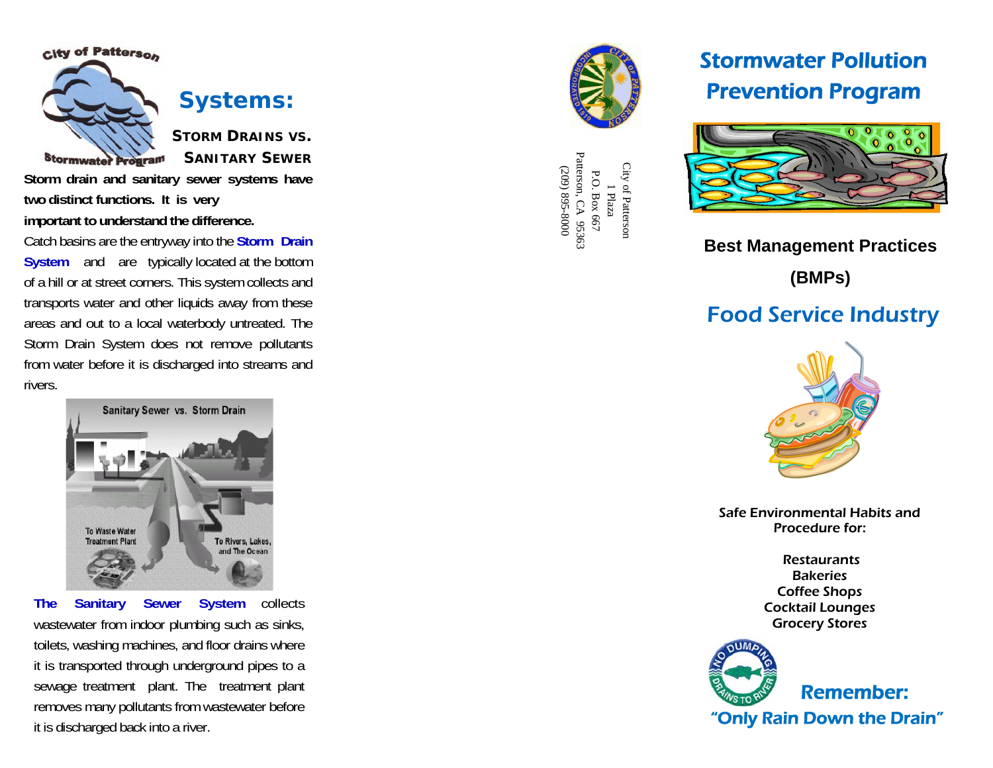

*<u>Stormwater Program</u>* 



**Systems:** 

**STORM DRAINS VS. SANITARY SEWER**

**Storm drain and sanitary sewer systems have two distinct functions. It is very important to understand the difference.** 

Catch basins are the entryway into the **Storm Drain System** and are typically located at the bottom of a hill or at street corners. This system collects and transports water and other liquids away from these areas and out to a local waterbody untreated. The Storm Drain System does not remove pollutants from water before it is discharged into streams and rivers.



**The Sanitary Sewer System** collects wastewater from indoor plumbing such as sinks, toilets, washing machines, and floor drains where it is transported through underground pipes to a sewage treatment plant. The treatment plant removes many pollutants from wastewater before it is discharged back into a river.



Patterson, CA 95363<br>(209) 895-8000 Patterson, CA 95363 City of Pattersor City of Patterson (209) 895-8000 P.O. Box 667 P.O. Box 667 1 Plaza

# Stormwater Pollution Prevention Program



## **Best Management Practices**

**(BMPs)**

## Food Service Industry



Safe Environmental Habits and Procedure for:

> **Restaurants Bakeries** Coffee Shops Cocktail Lounges Grocery Stores